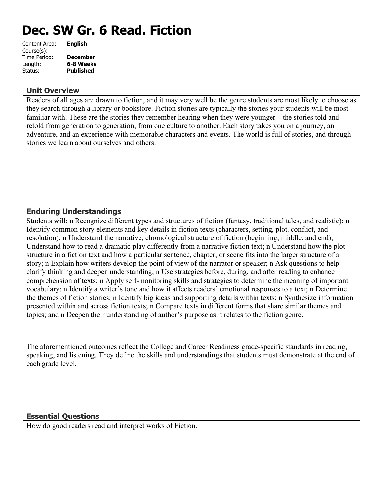# **Dec. SW Gr. 6 Read. Fiction**

| Content Area: | <b>English</b>   |
|---------------|------------------|
| Course(s):    |                  |
| Time Period:  | <b>December</b>  |
| Length:       | 6-8 Weeks        |
| Status:       | <b>Published</b> |
|               |                  |

#### **Unit Overview**

Readers of all ages are drawn to fiction, and it may very well be the genre students are most likely to choose as they search through a library or bookstore. Fiction stories are typically the stories your students will be most familiar with. These are the stories they remember hearing when they were younger—the stories told and retold from generation to generation, from one culture to another. Each story takes you on a journey, an adventure, and an experience with memorable characters and events. The world is full of stories, and through stories we learn about ourselves and others.

## **Enduring Understandings**

Students will: n Recognize different types and structures of fiction (fantasy, traditional tales, and realistic); n Identify common story elements and key details in fiction texts (characters, setting, plot, conflict, and resolution); n Understand the narrative, chronological structure of fiction (beginning, middle, and end); n Understand how to read a dramatic play differently from a narrative fiction text; n Understand how the plot structure in a fiction text and how a particular sentence, chapter, or scene fits into the larger structure of a story; n Explain how writers develop the point of view of the narrator or speaker; n Ask questions to help clarify thinking and deepen understanding; n Use strategies before, during, and after reading to enhance comprehension of texts; n Apply self-monitoring skills and strategies to determine the meaning of important vocabulary; n Identify a writer's tone and how it affects readers' emotional responses to a text; n Determine the themes of fiction stories; n Identify big ideas and supporting details within texts; n Synthesize information presented within and across fiction texts; n Compare texts in different forms that share similar themes and topics; and n Deepen their understanding of author's purpose as it relates to the fiction genre.

The aforementioned outcomes reflect the College and Career Readiness grade-specific standards in reading, speaking, and listening. They define the skills and understandings that students must demonstrate at the end of each grade level.

## **Essential Questions**

How do good readers read and interpret works of Fiction.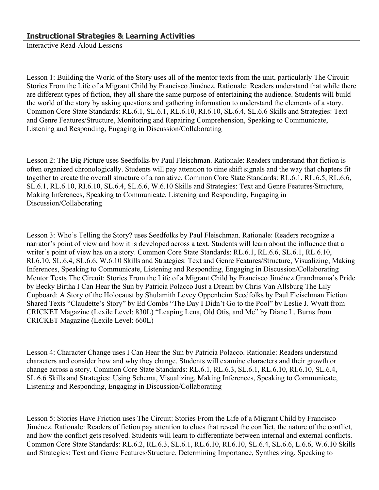Interactive Read-Aloud Lessons

Lesson 1: Building the World of the Story uses all of the mentor texts from the unit, particularly The Circuit: Stories From the Life of a Migrant Child by Francisco Jiménez. Rationale: Readers understand that while there are different types of fiction, they all share the same purpose of entertaining the audience. Students will build the world of the story by asking questions and gathering information to understand the elements of a story. Common Core State Standards: RL.6.1, SL.6.1, RL.6.10, RI.6.10, SL.6.4, SL.6.6 Skills and Strategies: Text and Genre Features/Structure, Monitoring and Repairing Comprehension, Speaking to Communicate, Listening and Responding, Engaging in Discussion/Collaborating

Lesson 2: The Big Picture uses Seedfolks by Paul Fleischman. Rationale: Readers understand that fiction is often organized chronologically. Students will pay attention to time shift signals and the way that chapters fit together to create the overall structure of a narrative. Common Core State Standards: RL.6.1, RL.6.5, RL.6.6, SL.6.1, RL.6.10, RI.6.10, SL.6.4, SL.6.6, W.6.10 Skills and Strategies: Text and Genre Features/Structure, Making Inferences, Speaking to Communicate, Listening and Responding, Engaging in Discussion/Collaborating

Lesson 3: Who's Telling the Story? uses Seedfolks by Paul Fleischman. Rationale: Readers recognize a narrator's point of view and how it is developed across a text. Students will learn about the influence that a writer's point of view has on a story. Common Core State Standards: RL.6.1, RL.6.6, SL.6.1, RL.6.10, RI.6.10, SL.6.4, SL.6.6, W.6.10 Skills and Strategies: Text and Genre Features/Structure, Visualizing, Making Inferences, Speaking to Communicate, Listening and Responding, Engaging in Discussion/Collaborating Mentor Texts The Circuit: Stories From the Life of a Migrant Child by Francisco Jiménez Grandmama's Pride by Becky Birtha I Can Hear the Sun by Patricia Polacco Just a Dream by Chris Van Allsburg The Lily Cupboard: A Story of the Holocaust by Shulamith Levey Oppenheim Seedfolks by Paul Fleischman Fiction Shared Texts "Claudette's Story" by Ed Combs "The Day I Didn't Go to the Pool" by Leslie J. Wyatt from CRICKET Magazine (Lexile Level: 830L) "Leaping Lena, Old Otis, and Me" by Diane L. Burns from CRICKET Magazine (Lexile Level: 660L)

Lesson 4: Character Change uses I Can Hear the Sun by Patricia Polacco. Rationale: Readers understand characters and consider how and why they change. Students will examine characters and their growth or change across a story. Common Core State Standards: RL.6.1, RL.6.3, SL.6.1, RL.6.10, RI.6.10, SL.6.4, SL.6.6 Skills and Strategies: Using Schema, Visualizing, Making Inferences, Speaking to Communicate, Listening and Responding, Engaging in Discussion/Collaborating

Lesson 5: Stories Have Friction uses The Circuit: Stories From the Life of a Migrant Child by Francisco Jiménez. Rationale: Readers of fiction pay attention to clues that reveal the conflict, the nature of the conflict, and how the conflict gets resolved. Students will learn to differentiate between internal and external conflicts. Common Core State Standards: RL.6.2, RL.6.3, SL.6.1, RL.6.10, RI.6.10, SL.6.4, SL.6.6, L.6.6, W.6.10 Skills and Strategies: Text and Genre Features/Structure, Determining Importance, Synthesizing, Speaking to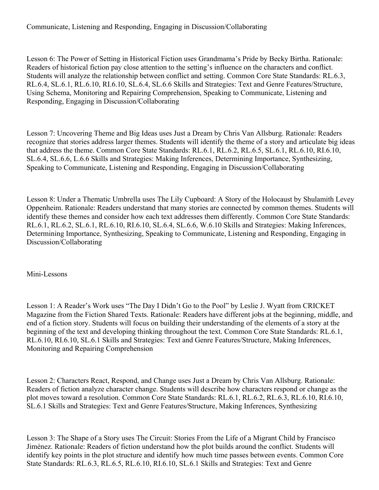## Communicate, Listening and Responding, Engaging in Discussion/Collaborating

Lesson 6: The Power of Setting in Historical Fiction uses Grandmama's Pride by Becky Birtha. Rationale: Readers of historical fiction pay close attention to the setting's influence on the characters and conflict. Students will analyze the relationship between conflict and setting. Common Core State Standards: RL.6.3, RL.6.4, SL.6.1, RL.6.10, RI.6.10, SL.6.4, SL.6.6 Skills and Strategies: Text and Genre Features/Structure, Using Schema, Monitoring and Repairing Comprehension, Speaking to Communicate, Listening and Responding, Engaging in Discussion/Collaborating

Lesson 7: Uncovering Theme and Big Ideas uses Just a Dream by Chris Van Allsburg. Rationale: Readers recognize that stories address larger themes. Students will identify the theme of a story and articulate big ideas that address the theme. Common Core State Standards: RL.6.1, RL.6.2, RL.6.5, SL.6.1, RL.6.10, RI.6.10, SL.6.4, SL.6.6, L.6.6 Skills and Strategies: Making Inferences, Determining Importance, Synthesizing, Speaking to Communicate, Listening and Responding, Engaging in Discussion/Collaborating

Lesson 8: Under a Thematic Umbrella uses The Lily Cupboard: A Story of the Holocaust by Shulamith Levey Oppenheim. Rationale: Readers understand that many stories are connected by common themes. Students will identify these themes and consider how each text addresses them differently. Common Core State Standards: RL.6.1, RL.6.2, SL.6.1, RL.6.10, RI.6.10, SL.6.4, SL.6.6, W.6.10 Skills and Strategies: Making Inferences, Determining Importance, Synthesizing, Speaking to Communicate, Listening and Responding, Engaging in Discussion/Collaborating

Mini-Lessons

Lesson 1: A Reader's Work uses "The Day I Didn't Go to the Pool" by Leslie J. Wyatt from CRICKET Magazine from the Fiction Shared Texts. Rationale: Readers have different jobs at the beginning, middle, and end of a fiction story. Students will focus on building their understanding of the elements of a story at the beginning of the text and developing thinking throughout the text. Common Core State Standards: RL.6.1, RL.6.10, RI.6.10, SL.6.1 Skills and Strategies: Text and Genre Features/Structure, Making Inferences, Monitoring and Repairing Comprehension

Lesson 2: Characters React, Respond, and Change uses Just a Dream by Chris Van Allsburg. Rationale: Readers of fiction analyze character change. Students will describe how characters respond or change as the plot moves toward a resolution. Common Core State Standards: RL.6.1, RL.6.2, RL.6.3, RL.6.10, RI.6.10, SL.6.1 Skills and Strategies: Text and Genre Features/Structure, Making Inferences, Synthesizing

Lesson 3: The Shape of a Story uses The Circuit: Stories From the Life of a Migrant Child by Francisco Jiménez. Rationale: Readers of fiction understand how the plot builds around the conflict. Students will identify key points in the plot structure and identify how much time passes between events. Common Core State Standards: RL.6.3, RL.6.5, RL.6.10, RI.6.10, SL.6.1 Skills and Strategies: Text and Genre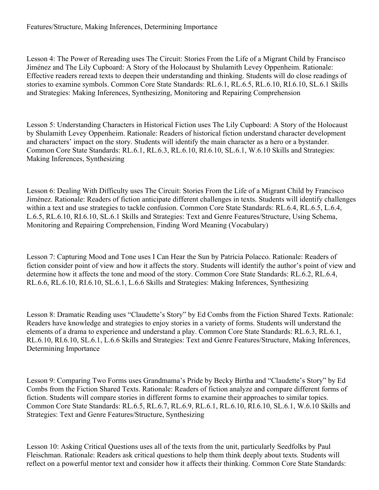Lesson 4: The Power of Rereading uses The Circuit: Stories From the Life of a Migrant Child by Francisco Jiménez and The Lily Cupboard: A Story of the Holocaust by Shulamith Levey Oppenheim. Rationale: Effective readers reread texts to deepen their understanding and thinking. Students will do close readings of stories to examine symbols. Common Core State Standards: RL.6.1, RL.6.5, RL.6.10, RI.6.10, SL.6.1 Skills and Strategies: Making Inferences, Synthesizing, Monitoring and Repairing Comprehension

Lesson 5: Understanding Characters in Historical Fiction uses The Lily Cupboard: A Story of the Holocaust by Shulamith Levey Oppenheim. Rationale: Readers of historical fiction understand character development and characters' impact on the story. Students will identify the main character as a hero or a bystander. Common Core State Standards: RL.6.1, RL.6.3, RL.6.10, RI.6.10, SL.6.1, W.6.10 Skills and Strategies: Making Inferences, Synthesizing

Lesson 6: Dealing With Difficulty uses The Circuit: Stories From the Life of a Migrant Child by Francisco Jiménez. Rationale: Readers of fiction anticipate different challenges in texts. Students will identify challenges within a text and use strategies to tackle confusion. Common Core State Standards: RL.6.4, RL.6.5, L.6.4, L.6.5, RL.6.10, RI.6.10, SL.6.1 Skills and Strategies: Text and Genre Features/Structure, Using Schema, Monitoring and Repairing Comprehension, Finding Word Meaning (Vocabulary)

Lesson 7: Capturing Mood and Tone uses I Can Hear the Sun by Patricia Polacco. Rationale: Readers of fiction consider point of view and how it affects the story. Students will identify the author's point of view and determine how it affects the tone and mood of the story. Common Core State Standards: RL.6.2, RL.6.4, RL.6.6, RL.6.10, RI.6.10, SL.6.1, L.6.6 Skills and Strategies: Making Inferences, Synthesizing

Lesson 8: Dramatic Reading uses "Claudette's Story" by Ed Combs from the Fiction Shared Texts. Rationale: Readers have knowledge and strategies to enjoy stories in a variety of forms. Students will understand the elements of a drama to experience and understand a play. Common Core State Standards: RL.6.3, RL.6.1, RL.6.10, RI.6.10, SL.6.1, L.6.6 Skills and Strategies: Text and Genre Features/Structure, Making Inferences, Determining Importance

Lesson 9: Comparing Two Forms uses Grandmama's Pride by Becky Birtha and "Claudette's Story" by Ed Combs from the Fiction Shared Texts. Rationale: Readers of fiction analyze and compare different forms of fiction. Students will compare stories in different forms to examine their approaches to similar topics. Common Core State Standards: RL.6.5, RL.6.7, RL.6.9, RL.6.1, RL.6.10, RI.6.10, SL.6.1, W.6.10 Skills and Strategies: Text and Genre Features/Structure, Synthesizing

Lesson 10: Asking Critical Questions uses all of the texts from the unit, particularly Seedfolks by Paul Fleischman. Rationale: Readers ask critical questions to help them think deeply about texts. Students will reflect on a powerful mentor text and consider how it affects their thinking. Common Core State Standards: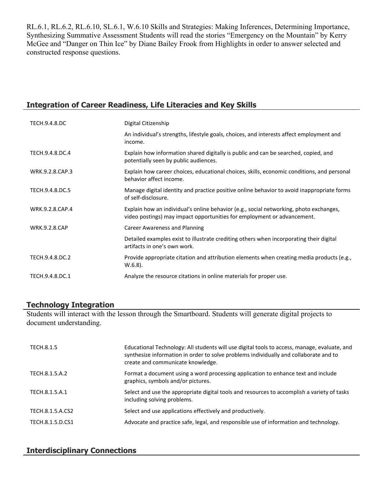RL.6.1, RL.6.2, RL.6.10, SL.6.1, W.6.10 Skills and Strategies: Making Inferences, Determining Importance, Synthesizing Summative Assessment Students will read the stories "Emergency on the Mountain" by Kerry McGee and "Danger on Thin Ice" by Diane Bailey Frook from Highlights in order to answer selected and constructed response questions.

## **Integration of Career Readiness, Life Literacies and Key Skills**

| TECH.9.4.8.DC        | Digital Citizenship                                                                                                                                               |
|----------------------|-------------------------------------------------------------------------------------------------------------------------------------------------------------------|
|                      | An individual's strengths, lifestyle goals, choices, and interests affect employment and<br>income.                                                               |
| TECH.9.4.8.DC.4      | Explain how information shared digitally is public and can be searched, copied, and<br>potentially seen by public audiences.                                      |
| WRK.9.2.8.CAP.3      | Explain how career choices, educational choices, skills, economic conditions, and personal<br>behavior affect income.                                             |
| TECH.9.4.8.DC.5      | Manage digital identity and practice positive online behavior to avoid inappropriate forms<br>of self-disclosure.                                                 |
| WRK.9.2.8.CAP.4      | Explain how an individual's online behavior (e.g., social networking, photo exchanges,<br>video postings) may impact opportunities for employment or advancement. |
| <b>WRK.9.2.8.CAP</b> | <b>Career Awareness and Planning</b>                                                                                                                              |
|                      | Detailed examples exist to illustrate crediting others when incorporating their digital<br>artifacts in one's own work.                                           |
| TECH.9.4.8.DC.2      | Provide appropriate citation and attribution elements when creating media products (e.g.,<br>$W.6.8$ ).                                                           |
| TECH.9.4.8.DC.1      | Analyze the resource citations in online materials for proper use.                                                                                                |

#### **Technology Integration**

Students will interact with the lesson through the Smartboard. Students will generate digital projects to document understanding.

| <b>TECH.8.1.5</b> | Educational Technology: All students will use digital tools to access, manage, evaluate, and<br>synthesize information in order to solve problems individually and collaborate and to<br>create and communicate knowledge. |
|-------------------|----------------------------------------------------------------------------------------------------------------------------------------------------------------------------------------------------------------------------|
| TECH.8.1.5.A.2    | Format a document using a word processing application to enhance text and include<br>graphics, symbols and/or pictures.                                                                                                    |
| TECH.8.1.5.A.1    | Select and use the appropriate digital tools and resources to accomplish a variety of tasks<br>including solving problems.                                                                                                 |
| TECH.8.1.5.A.CS2  | Select and use applications effectively and productively.                                                                                                                                                                  |
| TECH.8.1.5.D.CS1  | Advocate and practice safe, legal, and responsible use of information and technology.                                                                                                                                      |

# **Interdisciplinary Connections**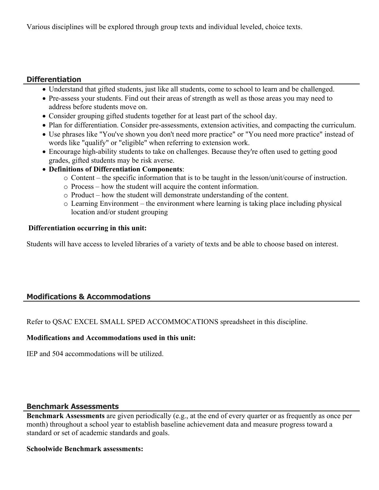Various disciplines will be explored through group texts and individual leveled, choice texts.

## **Differentiation**

- Understand that gifted students, just like all students, come to school to learn and be challenged.
- Pre-assess your students. Find out their areas of strength as well as those areas you may need to address before students move on.
- Consider grouping gifted students together for at least part of the school day.
- Plan for differentiation. Consider pre-assessments, extension activities, and compacting the curriculum.
- Use phrases like "You've shown you don't need more practice" or "You need more practice" instead of words like "qualify" or "eligible" when referring to extension work.
- Encourage high-ability students to take on challenges. Because they're often used to getting good grades, gifted students may be risk averse.
- **Definitions of Differentiation Components**:
	- o Content the specific information that is to be taught in the lesson/unit/course of instruction.
	- o Process how the student will acquire the content information.
	- o Product how the student will demonstrate understanding of the content.
	- o Learning Environment the environment where learning is taking place including physical location and/or student grouping

## **Differentiation occurring in this unit:**

Students will have access to leveled libraries of a variety of texts and be able to choose based on interest.

# **Modifications & Accommodations**

Refer to QSAC EXCEL SMALL SPED ACCOMMOCATIONS spreadsheet in this discipline.

#### **Modifications and Accommodations used in this unit:**

IEP and 504 accommodations will be utilized.

## **Benchmark Assessments**

**Benchmark Assessments** are given periodically (e.g., at the end of every quarter or as frequently as once per month) throughout a school year to establish baseline achievement data and measure progress toward a standard or set of academic standards and goals.

#### **Schoolwide Benchmark assessments:**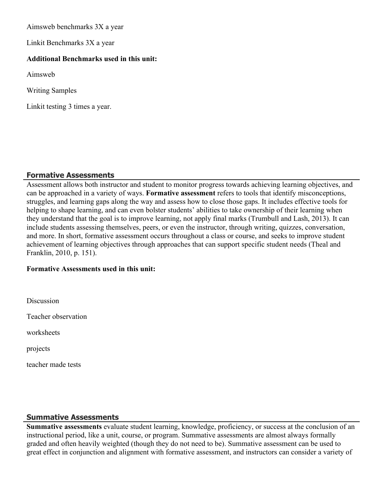Aimsweb benchmarks 3X a year

Linkit Benchmarks 3X a year

#### **Additional Benchmarks used in this unit:**

Aimsweb

Writing Samples

Linkit testing 3 times a year.

#### **Formative Assessments**

Assessment allows both instructor and student to monitor progress towards achieving learning objectives, and can be approached in a variety of ways. **Formative assessment** refers to tools that identify misconceptions, struggles, and learning gaps along the way and assess how to close those gaps. It includes effective tools for helping to shape learning, and can even bolster students' abilities to take ownership of their learning when they understand that the goal is to improve learning, not apply final marks (Trumbull and Lash, 2013). It can include students assessing themselves, peers, or even the instructor, through writing, quizzes, conversation, and more. In short, formative assessment occurs throughout a class or course, and seeks to improve student achievement of learning objectives through approaches that can support specific student needs (Theal and Franklin, 2010, p. 151).

#### **Formative Assessments used in this unit:**

**Discussion** 

Teacher observation

worksheets

projects

teacher made tests

## **Summative Assessments**

**Summative assessments** evaluate student learning, knowledge, proficiency, or success at the conclusion of an instructional period, like a unit, course, or program. Summative assessments are almost always formally graded and often heavily weighted (though they do not need to be). Summative assessment can be used to great effect in conjunction and alignment with formative assessment, and instructors can consider a variety of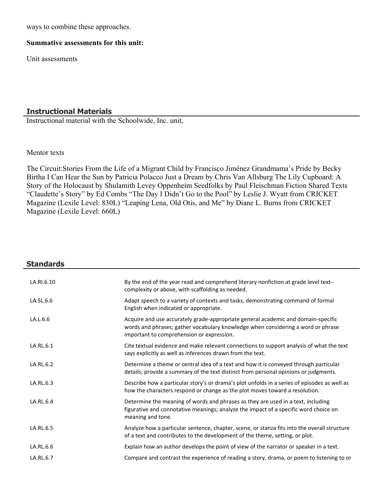ways to combine these approaches.

#### **Summative assessments for this unit:**

Unit assessments

#### **Instructional Materials**

Instructional material with the Schoolwide, Inc. unit,

#### Mentor texts

The Circuit:Stories From the Life of a Migrant Child by Francisco Jiménez Grandmama's Pride by Becky Birtha I Can Hear the Sun by Patricia Polacco Just a Dream by Chris Van Allsburg The Lily Cupboard: A Story of the Holocaust by Shulamith Levey Oppenheim Seedfolks by Paul Fleischman Fiction Shared Texts "Claudette's Story" by Ed Combs "The Day I Didn't Go to the Pool" by Leslie J. Wyatt from CRICKET Magazine (Lexile Level: 830L) "Leaping Lena, Old Otis, and Me" by Diane L. Burns from CRICKET Magazine (Lexile Level: 660L)

| <b>Standards</b> |                                                                                                                                                                                                                    |
|------------------|--------------------------------------------------------------------------------------------------------------------------------------------------------------------------------------------------------------------|
| LA.RI.6.10       | By the end of the year read and comprehend literary nonfiction at grade level text-<br>complexity or above, with scaffolding as needed.                                                                            |
| LA.SL.6.6        | Adapt speech to a variety of contexts and tasks, demonstrating command of formal<br>English when indicated or appropriate.                                                                                         |
| LA.L.6.6         | Acquire and use accurately grade-appropriate general academic and domain-specific<br>words and phrases; gather vocabulary knowledge when considering a word or phrase<br>important to comprehension or expression. |
| LA.RL.6.1        | Cite textual evidence and make relevant connections to support analysis of what the text<br>says explicitly as well as inferences drawn from the text.                                                             |
| LA.RL.6.2        | Determine a theme or central idea of a text and how it is conveyed through particular<br>details; provide a summary of the text distinct from personal opinions or judgments.                                      |
| LA.RL.6.3        | Describe how a particular story's or drama's plot unfolds in a series of episodes as well as<br>how the characters respond or change as the plot moves toward a resolution.                                        |
| LA.RL.6.4        | Determine the meaning of words and phrases as they are used in a text, including<br>figurative and connotative meanings; analyze the impact of a specific word choice on<br>meaning and tone.                      |
| LA.RL.6.5        | Analyze how a particular sentence, chapter, scene, or stanza fits into the overall structure<br>of a text and contributes to the development of the theme, setting, or plot.                                       |
| LA.RL.6.6        | Explain how an author develops the point of view of the narrator or speaker in a text.                                                                                                                             |
| LA.RL.6.7        | Compare and contrast the experience of reading a story, drama, or poem to listening to or                                                                                                                          |
|                  |                                                                                                                                                                                                                    |